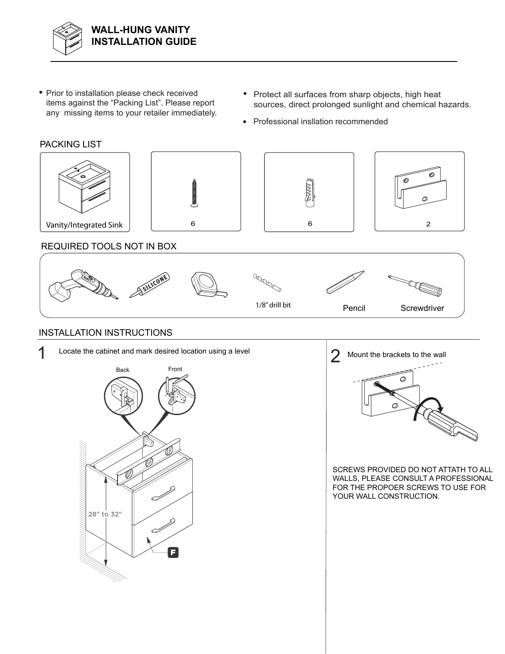

- Prior to installation please check received items against the "Packing List". Please report any missing items to your retailer immediately.
- Protect all surfaces from sharp objects, high heat sources, direct prolonged sunlight and chemical hazards.
- Professional insllation recommended

 $\epsilon$ 

## PACKING LIST PACKING LIST





Vanity/Integrated Sink

## REQUIRED TOOLS NOT IN BOX



## INSTALLATION INSTRUCTIONS





O

O.

SCREWS PROVIDED DO NOT ATTATH TO ALL WALLS, PLEASE CONSULT A PROFESSIONAL FOR THE PROPOER SCREWS TO USE FOR YOUR WALL CONSTRUCTION.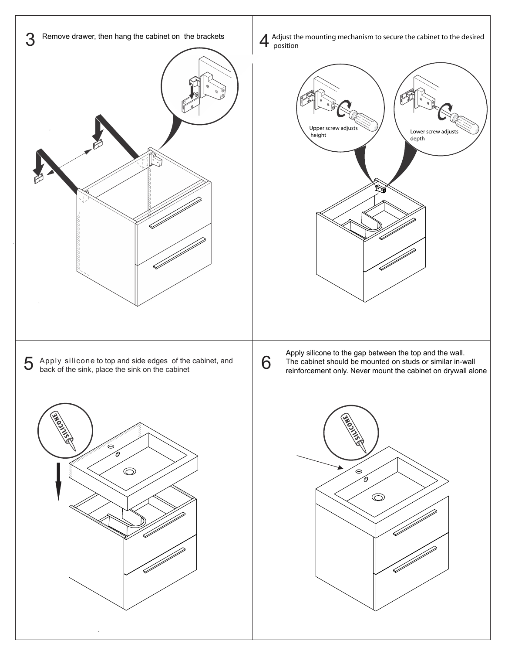